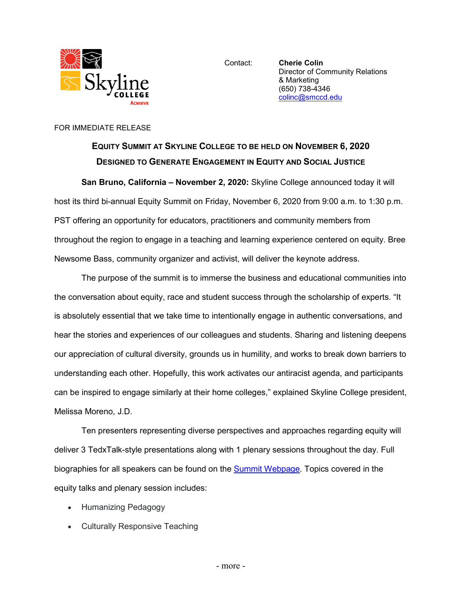

Contact: **Cherie Colin** Director of Community Relations & Marketing (650) 738-4346 [colinc@smccd.edu](mailto:colinc@smccd.edu)

## FOR IMMEDIATE RELEASE

## **EQUITY SUMMIT AT SKYLINE COLLEGE TO BE HELD ON NOVEMBER 6, 2020 DESIGNED TO GENERATE ENGAGEMENT IN EQUITY AND SOCIAL JUSTICE**

**San Bruno, California – November 2, 2020:** Skyline College announced today it will host its third bi-annual Equity Summit on Friday, November 6, 2020 from 9:00 a.m. to 1:30 p.m. PST offering an opportunity for educators, practitioners and community members from throughout the region to engage in a teaching and learning experience centered on equity. Bree Newsome Bass, community organizer and activist, will deliver the keynote address.

The purpose of the summit is to immerse the business and educational communities into the conversation about equity, race and student success through the scholarship of experts. "It is absolutely essential that we take time to intentionally engage in authentic conversations, and hear the stories and experiences of our colleagues and students. Sharing and listening deepens our appreciation of cultural diversity, grounds us in humility, and works to break down barriers to understanding each other. Hopefully, this work activates our antiracist agenda, and participants can be inspired to engage similarly at their home colleges," explained Skyline College president, Melissa Moreno, J.D.

Ten presenters representing diverse perspectives and approaches regarding equity will deliver 3 TedxTalk-style presentations along with 1 plenary sessions throughout the day. Full biographies for all speakers can be found on the **Summit Webpage**. Topics covered in the equity talks and plenary session includes:

- Humanizing Pedagogy
- Culturally Responsive Teaching